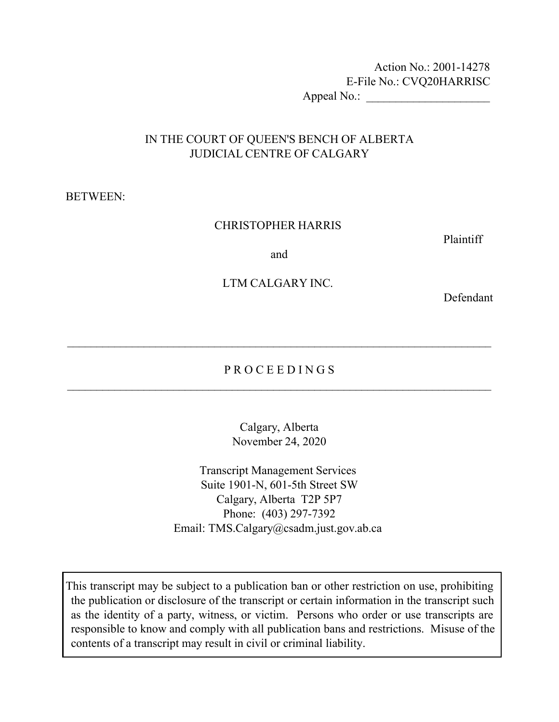Action No.: 2001-14278 E-File No.: CVQ20HARRISC Appeal No.: \_\_\_\_\_\_\_\_\_\_\_\_\_\_\_\_\_\_\_\_\_

# IN THE COURT OF QUEEN'S BENCH OF ALBERTA JUDICIAL CENTRE OF CALGARY

#### BETWEEN:

#### CHRISTOPHER HARRIS

Plaintiff

and

### LTM CALGARY INC.

Defendant

# P R O C E E D I N G S  $\_$  , and the contribution of the contribution of  $\mathcal{L}_1$  , and  $\mathcal{L}_2$  , and  $\mathcal{L}_3$  , and  $\mathcal{L}_4$  , and  $\mathcal{L}_5$  , and  $\mathcal{L}_6$  , and  $\mathcal{L}_7$  , and  $\mathcal{L}_8$  , and  $\mathcal{L}_7$  , and  $\mathcal{L}_8$  , and  $\mathcal{L}_9$  ,

 $\_$  , and the contribution of the contribution of  $\mathcal{L}_\mathcal{A}$  , and the contribution of  $\mathcal{L}_\mathcal{A}$ 

Calgary, Alberta November 24, 2020

Transcript Management Services Suite 1901-N, 601-5th Street SW Calgary, Alberta T2P 5P7 Phone: (403) 297-7392 Email: TMS.Calgary@csadm.just.gov.ab.ca

This transcript may be subject to a publication ban or other restriction on use, prohibiting the publication or disclosure of the transcript or certain information in the transcript such as the identity of a party, witness, or victim. Persons who order or use transcripts are responsible to know and comply with all publication bans and restrictions. Misuse of the contents of a transcript may result in civil or criminal liability.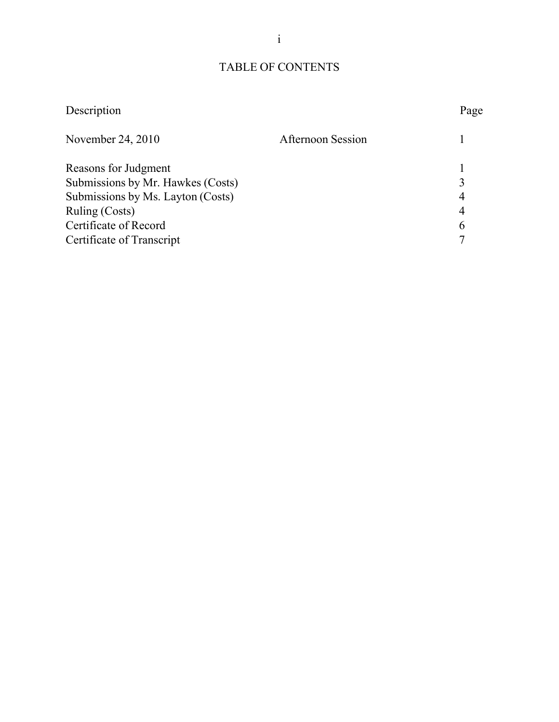# TABLE OF CONTENTS

| Description                       | Page                     |
|-----------------------------------|--------------------------|
| November 24, 2010                 | <b>Afternoon Session</b> |
| Reasons for Judgment              |                          |
| Submissions by Mr. Hawkes (Costs) |                          |
| Submissions by Ms. Layton (Costs) | 4                        |
| Ruling (Costs)                    | 4                        |
| Certificate of Record             | 6                        |
| Certificate of Transcript         |                          |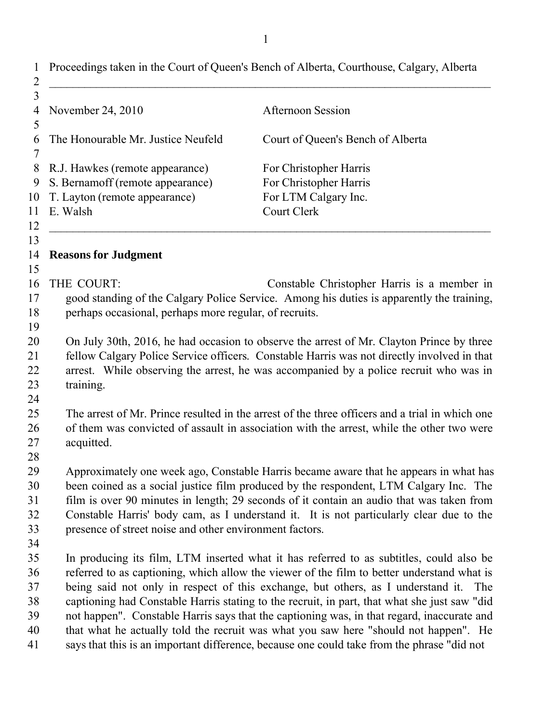| Proceedings taken in the Court of Queen's Bench of Alberta, Courthouse, Calgary, Alberta<br>1<br>$\overline{2}$ |                                                                                                                                                                                                                                                                                                                                                                                                                                  |                                                                                                                                                                                                                                                                                                                                                                                                                                                                                                                                                                                                                                                                   |  |
|-----------------------------------------------------------------------------------------------------------------|----------------------------------------------------------------------------------------------------------------------------------------------------------------------------------------------------------------------------------------------------------------------------------------------------------------------------------------------------------------------------------------------------------------------------------|-------------------------------------------------------------------------------------------------------------------------------------------------------------------------------------------------------------------------------------------------------------------------------------------------------------------------------------------------------------------------------------------------------------------------------------------------------------------------------------------------------------------------------------------------------------------------------------------------------------------------------------------------------------------|--|
| 3<br>4<br>5                                                                                                     | November 24, 2010                                                                                                                                                                                                                                                                                                                                                                                                                | <b>Afternoon Session</b>                                                                                                                                                                                                                                                                                                                                                                                                                                                                                                                                                                                                                                          |  |
| 6<br>7                                                                                                          | The Honourable Mr. Justice Neufeld                                                                                                                                                                                                                                                                                                                                                                                               | Court of Queen's Bench of Alberta                                                                                                                                                                                                                                                                                                                                                                                                                                                                                                                                                                                                                                 |  |
| 8<br>9<br>10<br>11<br>12                                                                                        | R.J. Hawkes (remote appearance)<br>S. Bernamoff (remote appearance)<br>T. Layton (remote appearance)<br>E. Walsh                                                                                                                                                                                                                                                                                                                 | For Christopher Harris<br>For Christopher Harris<br>For LTM Calgary Inc.<br><b>Court Clerk</b>                                                                                                                                                                                                                                                                                                                                                                                                                                                                                                                                                                    |  |
| 13<br>14                                                                                                        | <b>Reasons for Judgment</b>                                                                                                                                                                                                                                                                                                                                                                                                      |                                                                                                                                                                                                                                                                                                                                                                                                                                                                                                                                                                                                                                                                   |  |
| 15<br>16<br>17<br>18<br>19                                                                                      | THE COURT:<br>perhaps occasional, perhaps more regular, of recruits.                                                                                                                                                                                                                                                                                                                                                             | Constable Christopher Harris is a member in<br>good standing of the Calgary Police Service. Among his duties is apparently the training,                                                                                                                                                                                                                                                                                                                                                                                                                                                                                                                          |  |
| 20<br>21<br>22<br>23<br>24                                                                                      | On July 30th, 2016, he had occasion to observe the arrest of Mr. Clayton Prince by three<br>fellow Calgary Police Service officers. Constable Harris was not directly involved in that<br>arrest. While observing the arrest, he was accompanied by a police recruit who was in<br>training.                                                                                                                                     |                                                                                                                                                                                                                                                                                                                                                                                                                                                                                                                                                                                                                                                                   |  |
| 25<br>26<br>27<br>28                                                                                            | The arrest of Mr. Prince resulted in the arrest of the three officers and a trial in which one<br>of them was convicted of assault in association with the arrest, while the other two were<br>acquitted.                                                                                                                                                                                                                        |                                                                                                                                                                                                                                                                                                                                                                                                                                                                                                                                                                                                                                                                   |  |
| 29<br>30<br>31<br>32<br>33                                                                                      | Approximately one week ago, Constable Harris became aware that he appears in what has<br>been coined as a social justice film produced by the respondent, LTM Calgary Inc. The<br>film is over 90 minutes in length; 29 seconds of it contain an audio that was taken from<br>Constable Harris' body cam, as I understand it. It is not particularly clear due to the<br>presence of street noise and other environment factors. |                                                                                                                                                                                                                                                                                                                                                                                                                                                                                                                                                                                                                                                                   |  |
| 34<br>35<br>36<br>37<br>38<br>39<br>40<br>41                                                                    |                                                                                                                                                                                                                                                                                                                                                                                                                                  | In producing its film, LTM inserted what it has referred to as subtitles, could also be<br>referred to as captioning, which allow the viewer of the film to better understand what is<br>being said not only in respect of this exchange, but others, as I understand it. The<br>captioning had Constable Harris stating to the recruit, in part, that what she just saw "did<br>not happen". Constable Harris says that the captioning was, in that regard, inaccurate and<br>that what he actually told the recruit was what you saw here "should not happen". He<br>says that this is an important difference, because one could take from the phrase "did not |  |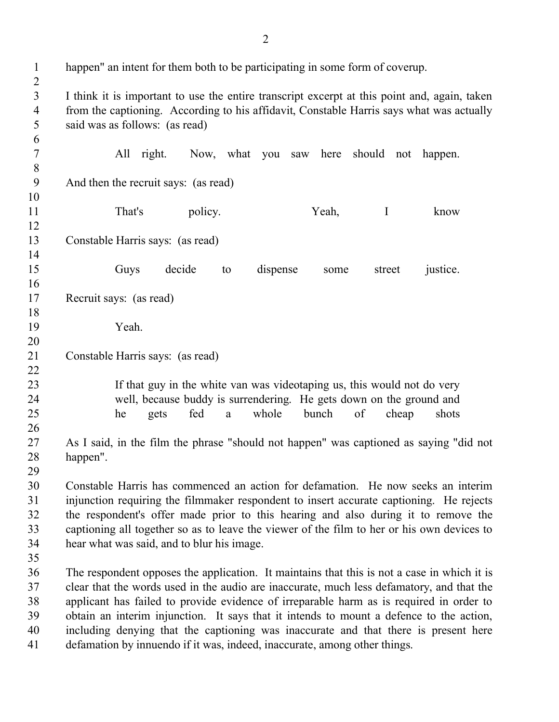| $\mathbf{1}$<br>$\boldsymbol{2}$ | happen" an intent for them both to be participating in some form of coverup.                 |
|----------------------------------|----------------------------------------------------------------------------------------------|
| $\overline{3}$                   | I think it is important to use the entire transcript excerpt at this point and, again, taken |
| $\overline{4}$                   | from the captioning. According to his affidavit, Constable Harris says what was actually     |
| 5                                | said was as follows: (as read)                                                               |
| 6                                |                                                                                              |
| $\tau$                           | All right.<br>Now, what you saw here<br>should not<br>happen.                                |
| $\, 8$                           |                                                                                              |
| 9                                | And then the recruit says: (as read)                                                         |
| 10                               |                                                                                              |
| 11                               | That's<br>policy.<br>Yeah,<br>$\mathbf I$<br>know                                            |
| 12                               |                                                                                              |
| 13                               | Constable Harris says: (as read)                                                             |
| 14                               |                                                                                              |
| 15                               | decide<br>Guys<br>dispense<br>justice.<br>to<br>street<br>some                               |
| 16                               |                                                                                              |
| 17                               | Recruit says: (as read)                                                                      |
| 18                               |                                                                                              |
| 19                               | Yeah.                                                                                        |
| 20                               |                                                                                              |
| 21                               | Constable Harris says: (as read)                                                             |
| 22                               |                                                                                              |
| 23                               | If that guy in the white van was videotaping us, this would not do very                      |
| 24                               | well, because buddy is surrendering. He gets down on the ground and                          |
| 25                               | whole<br>bunch<br>fed<br>of<br>cheap<br>shots<br>he<br>gets<br>a                             |
| 26<br>27                         | As I said, in the film the phrase "should not happen" was captioned as saying "did not       |
| 28                               | happen".                                                                                     |
| 29                               |                                                                                              |
| 30                               | Constable Harris has commenced an action for defamation. He now seeks an interim             |
| 31                               | injunction requiring the filmmaker respondent to insert accurate captioning. He rejects      |
| 32                               | the respondent's offer made prior to this hearing and also during it to remove the           |
| 33                               | captioning all together so as to leave the viewer of the film to her or his own devices to   |
| 34                               | hear what was said, and to blur his image.                                                   |
| 35                               |                                                                                              |
| 36                               | The respondent opposes the application. It maintains that this is not a case in which it is  |
| 37                               | clear that the words used in the audio are inaccurate, much less defamatory, and that the    |
| 38                               | applicant has failed to provide evidence of irreparable harm as is required in order to      |
| 39                               | obtain an interim injunction. It says that it intends to mount a defence to the action,      |
| 40                               | including denying that the captioning was inaccurate and that there is present here          |
| 41                               | defamation by innuendo if it was, indeed, inaccurate, among other things.                    |
|                                  |                                                                                              |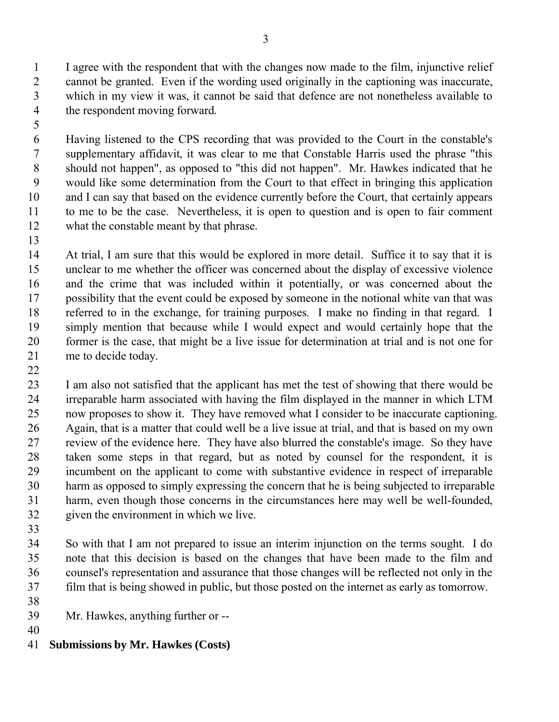1 2 3 4 I agree with the respondent that with the changes now made to the film, injunctive relief cannot be granted. Even if the wording used originally in the captioning was inaccurate, which in my view it was, it cannot be said that defence are not nonetheless available to the respondent moving forward.

5

6 7 8 9 10 11 12 Having listened to the CPS recording that was provided to the Court in the constable's supplementary affidavit, it was clear to me that Constable Harris used the phrase "this should not happen", as opposed to "this did not happen". Mr. Hawkes indicated that he would like some determination from the Court to that effect in bringing this application and I can say that based on the evidence currently before the Court, that certainly appears to me to be the case. Nevertheless, it is open to question and is open to fair comment what the constable meant by that phrase.

13

22

14 15 16 17 18 19 20 21 At trial, I am sure that this would be explored in more detail. Suffice it to say that it is unclear to me whether the officer was concerned about the display of excessive violence and the crime that was included within it potentially, or was concerned about the possibility that the event could be exposed by someone in the notional white van that was referred to in the exchange, for training purposes. I make no finding in that regard. I simply mention that because while I would expect and would certainly hope that the former is the case, that might be a live issue for determination at trial and is not one for me to decide today.

23 24 25 26 27 28 29 30 31 32 I am also not satisfied that the applicant has met the test of showing that there would be irreparable harm associated with having the film displayed in the manner in which LTM now proposes to show it. They have removed what I consider to be inaccurate captioning. Again, that is a matter that could well be a live issue at trial, and that is based on my own review of the evidence here. They have also blurred the constable's image. So they have taken some steps in that regard, but as noted by counsel for the respondent, it is incumbent on the applicant to come with substantive evidence in respect of irreparable harm as opposed to simply expressing the concern that he is being subjected to irreparable harm, even though those concerns in the circumstances here may well be well-founded, given the environment in which we live.

33

34 35 36 37 So with that I am not prepared to issue an interim injunction on the terms sought. I do note that this decision is based on the changes that have been made to the film and counsel's representation and assurance that those changes will be reflected not only in the film that is being showed in public, but those posted on the internet as early as tomorrow.

- 39 Mr. Hawkes, anything further or --
- 40

38

41 **Submissions by Mr. Hawkes (Costs)**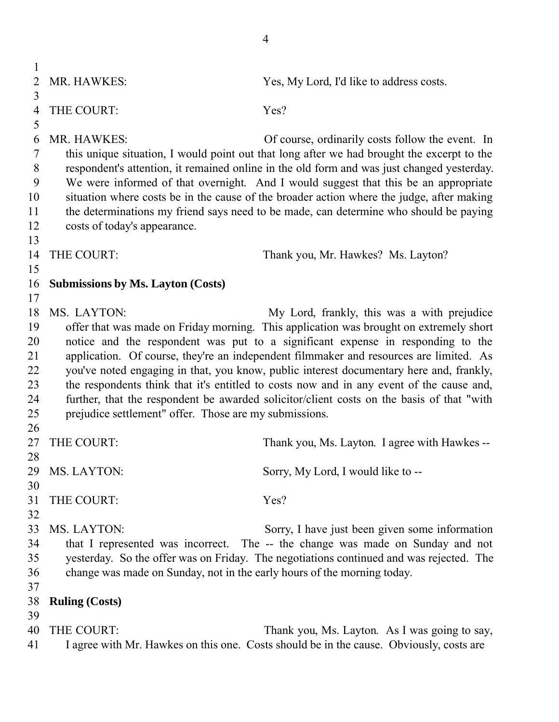1 2 3 4 5 6 7 8 9 10 11 12 13 14 15 16 17 18 MS. LAYTON: 19 20 21 22 23 24 25 26 27 28 29 30 31 32 33 34 35 36 37 38 39 40 41 MR. HAWKES: Yes, My Lord, I'd like to address costs. THE COURT: Yes? MR. HAWKES: Of course, ordinarily costs follow the event. In this unique situation, I would point out that long after we had brought the excerpt to the respondent's attention, it remained online in the old form and was just changed yesterday. We were informed of that overnight. And I would suggest that this be an appropriate situation where costs be in the cause of the broader action where the judge, after making the determinations my friend says need to be made, can determine who should be paying costs of today's appearance. THE COURT: Thank you, Mr. Hawkes? Ms. Layton? **Submissions by Ms. Layton (Costs)** My Lord, frankly, this was a with prejudice offer that was made on Friday morning. This application was brought on extremely short notice and the respondent was put to a significant expense in responding to the application. Of course, they're an independent filmmaker and resources are limited. As you've noted engaging in that, you know, public interest documentary here and, frankly, the respondents think that it's entitled to costs now and in any event of the cause and, further, that the respondent be awarded solicitor/client costs on the basis of that "with prejudice settlement" offer. Those are my submissions. THE COURT: Thank you, Ms. Layton. I agree with Hawkes --MS. LAYTON: Sorry, My Lord, I would like to --THE COURT: Yes? MS. LAYTON: Sorry, I have just been given some information that I represented was incorrect. The -- the change was made on Sunday and not yesterday. So the offer was on Friday. The negotiations continued and was rejected. The change was made on Sunday, not in the early hours of the morning today. **Ruling (Costs)** THE COURT: Thank you, Ms. Layton. As I was going to say, I agree with Mr. Hawkes on this one. Costs should be in the cause. Obviously, costs are

4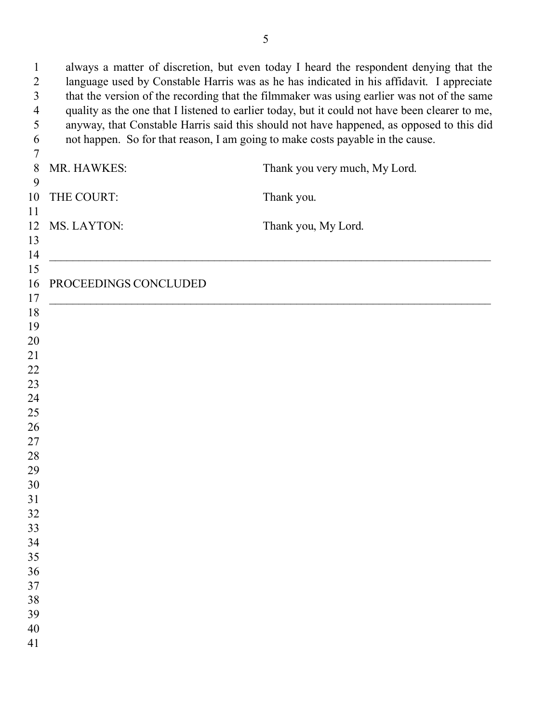always a matter of discretion, but even today I heard the respondent denying that the language used by Constable Harris was as he has indicated in his affidavit. I appreciate that the version of the recording that the filmmaker was using earlier was not of the same quality as the one that I listened to earlier today, but it could not have been clearer to me, anyway, that Constable Harris said this should not have happened, as opposed to this did not happen. So for that reason, I am going to make costs payable in the cause. MR. HAWKES: Thank you very much, My Lord. THE COURT: Thank you. MS. LAYTON: Thank you, My Lord. \_\_\_\_\_\_\_\_\_\_\_\_\_\_\_\_\_\_\_\_\_\_\_\_\_\_\_\_\_\_\_\_\_\_\_\_\_\_\_\_\_\_\_\_\_\_\_\_\_\_\_\_\_\_\_\_\_\_\_\_\_\_\_\_\_\_\_\_\_\_\_\_\_\_\_ PROCEEDINGS CONCLUDED \_\_\_\_\_\_\_\_\_\_\_\_\_\_\_\_\_\_\_\_\_\_\_\_\_\_\_\_\_\_\_\_\_\_\_\_\_\_\_\_\_\_\_\_\_\_\_\_\_\_\_\_\_\_\_\_\_\_\_\_\_\_\_\_\_\_\_\_\_\_\_\_\_\_\_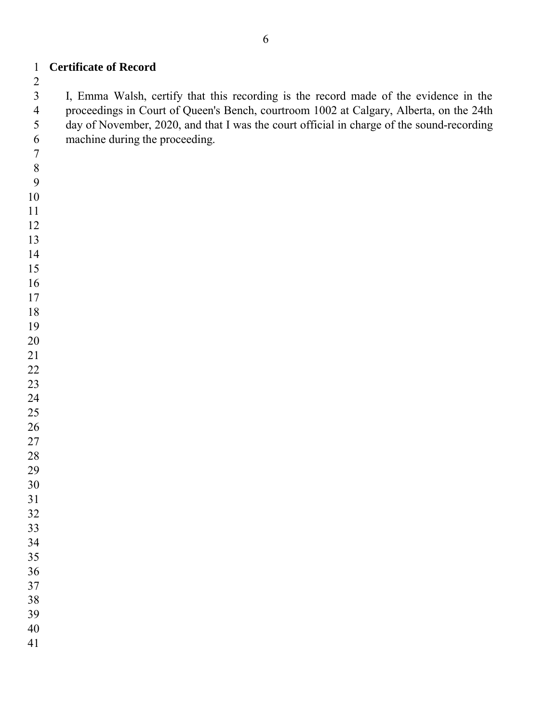I, Emma Walsh, certify that this recording is the record made of the evidence in the proceedings in Court of Queen's Bench, courtroom 1002 at Calgary, Alberta, on the 24th day of November, 2020, and that I was the court official in charge of the sound-recording machine during the proceeding.

**Certificate of Record**